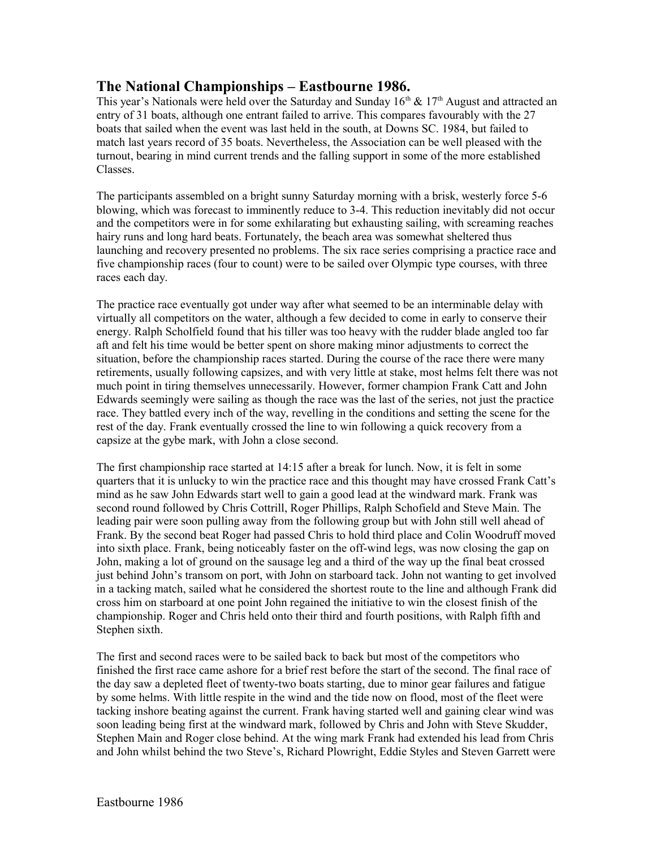## **The National Championships – Eastbourne 1986.**

This year's Nationals were held over the Saturday and Sunday  $16<sup>th</sup>$  &  $17<sup>th</sup>$  August and attracted an entry of 31 boats, although one entrant failed to arrive. This compares favourably with the 27 boats that sailed when the event was last held in the south, at Downs SC. 1984, but failed to match last years record of 35 boats. Nevertheless, the Association can be well pleased with the turnout, bearing in mind current trends and the falling support in some of the more established Classes.

The participants assembled on a bright sunny Saturday morning with a brisk, westerly force 5-6 blowing, which was forecast to imminently reduce to 3-4. This reduction inevitably did not occur and the competitors were in for some exhilarating but exhausting sailing, with screaming reaches hairy runs and long hard beats. Fortunately, the beach area was somewhat sheltered thus launching and recovery presented no problems. The six race series comprising a practice race and five championship races (four to count) were to be sailed over Olympic type courses, with three races each day.

The practice race eventually got under way after what seemed to be an interminable delay with virtually all competitors on the water, although a few decided to come in early to conserve their energy. Ralph Scholfield found that his tiller was too heavy with the rudder blade angled too far aft and felt his time would be better spent on shore making minor adjustments to correct the situation, before the championship races started. During the course of the race there were many retirements, usually following capsizes, and with very little at stake, most helms felt there was not much point in tiring themselves unnecessarily. However, former champion Frank Catt and John Edwards seemingly were sailing as though the race was the last of the series, not just the practice race. They battled every inch of the way, revelling in the conditions and setting the scene for the rest of the day. Frank eventually crossed the line to win following a quick recovery from a capsize at the gybe mark, with John a close second.

The first championship race started at 14:15 after a break for lunch. Now, it is felt in some quarters that it is unlucky to win the practice race and this thought may have crossed Frank Catt's mind as he saw John Edwards start well to gain a good lead at the windward mark. Frank was second round followed by Chris Cottrill, Roger Phillips, Ralph Schofield and Steve Main. The leading pair were soon pulling away from the following group but with John still well ahead of Frank. By the second beat Roger had passed Chris to hold third place and Colin Woodruff moved into sixth place. Frank, being noticeably faster on the off-wind legs, was now closing the gap on John, making a lot of ground on the sausage leg and a third of the way up the final beat crossed just behind John's transom on port, with John on starboard tack. John not wanting to get involved in a tacking match, sailed what he considered the shortest route to the line and although Frank did cross him on starboard at one point John regained the initiative to win the closest finish of the championship. Roger and Chris held onto their third and fourth positions, with Ralph fifth and Stephen sixth.

The first and second races were to be sailed back to back but most of the competitors who finished the first race came ashore for a brief rest before the start of the second. The final race of the day saw a depleted fleet of twenty-two boats starting, due to minor gear failures and fatigue by some helms. With little respite in the wind and the tide now on flood, most of the fleet were tacking inshore beating against the current. Frank having started well and gaining clear wind was soon leading being first at the windward mark, followed by Chris and John with Steve Skudder, Stephen Main and Roger close behind. At the wing mark Frank had extended his lead from Chris and John whilst behind the two Steve's, Richard Plowright, Eddie Styles and Steven Garrett were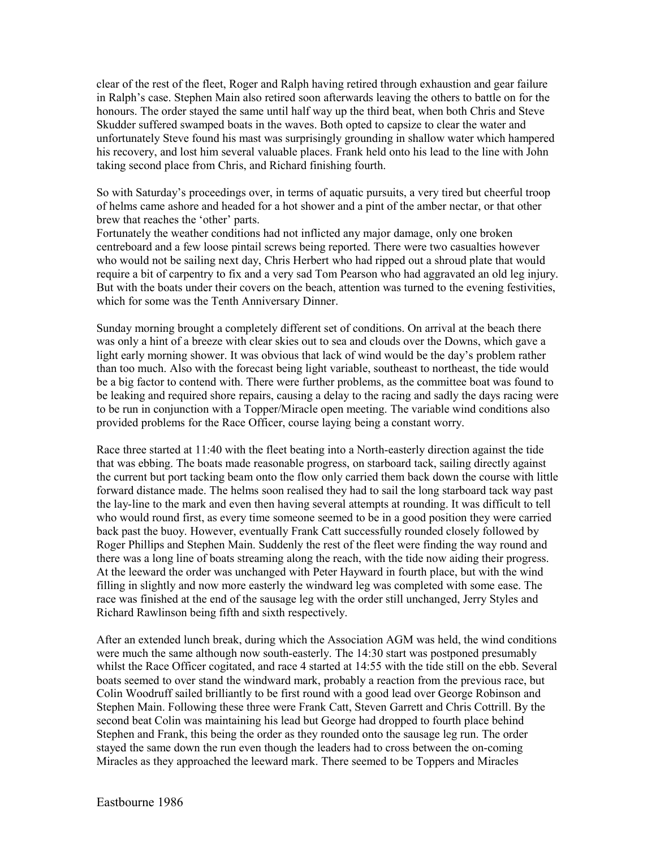clear of the rest of the fleet, Roger and Ralph having retired through exhaustion and gear failure in Ralph's case. Stephen Main also retired soon afterwards leaving the others to battle on for the honours. The order stayed the same until half way up the third beat, when both Chris and Steve Skudder suffered swamped boats in the waves. Both opted to capsize to clear the water and unfortunately Steve found his mast was surprisingly grounding in shallow water which hampered his recovery, and lost him several valuable places. Frank held onto his lead to the line with John taking second place from Chris, and Richard finishing fourth.

So with Saturday's proceedings over, in terms of aquatic pursuits, a very tired but cheerful troop of helms came ashore and headed for a hot shower and a pint of the amber nectar, or that other brew that reaches the 'other' parts.

Fortunately the weather conditions had not inflicted any major damage, only one broken centreboard and a few loose pintail screws being reported. There were two casualties however who would not be sailing next day, Chris Herbert who had ripped out a shroud plate that would require a bit of carpentry to fix and a very sad Tom Pearson who had aggravated an old leg injury. But with the boats under their covers on the beach, attention was turned to the evening festivities, which for some was the Tenth Anniversary Dinner.

Sunday morning brought a completely different set of conditions. On arrival at the beach there was only a hint of a breeze with clear skies out to sea and clouds over the Downs, which gave a light early morning shower. It was obvious that lack of wind would be the day's problem rather than too much. Also with the forecast being light variable, southeast to northeast, the tide would be a big factor to contend with. There were further problems, as the committee boat was found to be leaking and required shore repairs, causing a delay to the racing and sadly the days racing were to be run in conjunction with a Topper/Miracle open meeting. The variable wind conditions also provided problems for the Race Officer, course laying being a constant worry.

Race three started at 11:40 with the fleet beating into a North-easterly direction against the tide that was ebbing. The boats made reasonable progress, on starboard tack, sailing directly against the current but port tacking beam onto the flow only carried them back down the course with little forward distance made. The helms soon realised they had to sail the long starboard tack way past the lay-line to the mark and even then having several attempts at rounding. It was difficult to tell who would round first, as every time someone seemed to be in a good position they were carried back past the buoy. However, eventually Frank Catt successfully rounded closely followed by Roger Phillips and Stephen Main. Suddenly the rest of the fleet were finding the way round and there was a long line of boats streaming along the reach, with the tide now aiding their progress. At the leeward the order was unchanged with Peter Hayward in fourth place, but with the wind filling in slightly and now more easterly the windward leg was completed with some ease. The race was finished at the end of the sausage leg with the order still unchanged, Jerry Styles and Richard Rawlinson being fifth and sixth respectively.

After an extended lunch break, during which the Association AGM was held, the wind conditions were much the same although now south-easterly. The 14:30 start was postponed presumably whilst the Race Officer cogitated, and race 4 started at 14:55 with the tide still on the ebb. Several boats seemed to over stand the windward mark, probably a reaction from the previous race, but Colin Woodruff sailed brilliantly to be first round with a good lead over George Robinson and Stephen Main. Following these three were Frank Catt, Steven Garrett and Chris Cottrill. By the second beat Colin was maintaining his lead but George had dropped to fourth place behind Stephen and Frank, this being the order as they rounded onto the sausage leg run. The order stayed the same down the run even though the leaders had to cross between the on-coming Miracles as they approached the leeward mark. There seemed to be Toppers and Miracles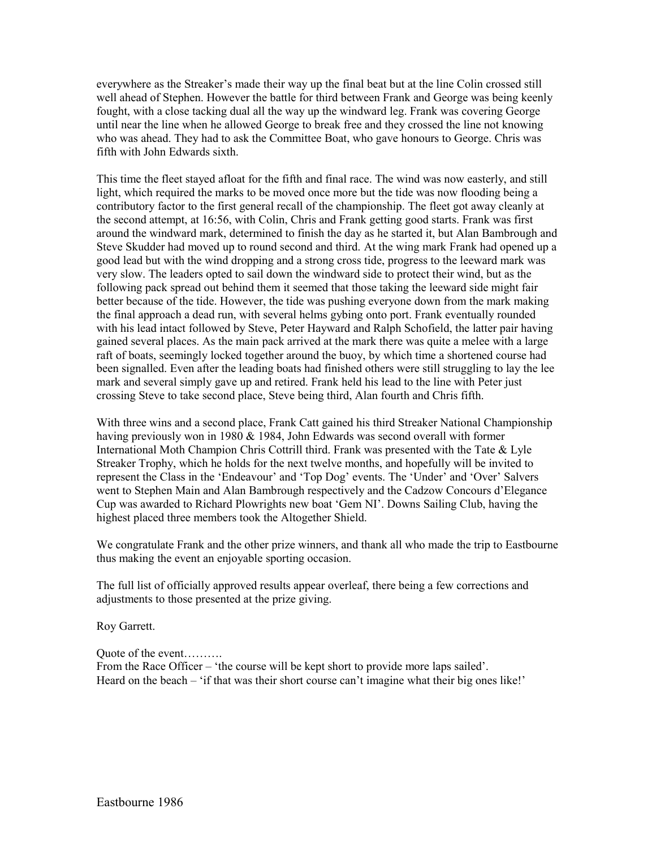everywhere as the Streaker's made their way up the final beat but at the line Colin crossed still well ahead of Stephen. However the battle for third between Frank and George was being keenly fought, with a close tacking dual all the way up the windward leg. Frank was covering George until near the line when he allowed George to break free and they crossed the line not knowing who was ahead. They had to ask the Committee Boat, who gave honours to George. Chris was fifth with John Edwards sixth.

This time the fleet stayed afloat for the fifth and final race. The wind was now easterly, and still light, which required the marks to be moved once more but the tide was now flooding being a contributory factor to the first general recall of the championship. The fleet got away cleanly at the second attempt, at 16:56, with Colin, Chris and Frank getting good starts. Frank was first around the windward mark, determined to finish the day as he started it, but Alan Bambrough and Steve Skudder had moved up to round second and third. At the wing mark Frank had opened up a good lead but with the wind dropping and a strong cross tide, progress to the leeward mark was very slow. The leaders opted to sail down the windward side to protect their wind, but as the following pack spread out behind them it seemed that those taking the leeward side might fair better because of the tide. However, the tide was pushing everyone down from the mark making the final approach a dead run, with several helms gybing onto port. Frank eventually rounded with his lead intact followed by Steve, Peter Hayward and Ralph Schofield, the latter pair having gained several places. As the main pack arrived at the mark there was quite a melee with a large raft of boats, seemingly locked together around the buoy, by which time a shortened course had been signalled. Even after the leading boats had finished others were still struggling to lay the lee mark and several simply gave up and retired. Frank held his lead to the line with Peter just crossing Steve to take second place, Steve being third, Alan fourth and Chris fifth.

With three wins and a second place, Frank Catt gained his third Streaker National Championship having previously won in 1980  $&$  1984, John Edwards was second overall with former International Moth Champion Chris Cottrill third. Frank was presented with the Tate & Lyle Streaker Trophy, which he holds for the next twelve months, and hopefully will be invited to represent the Class in the 'Endeavour' and 'Top Dog' events. The 'Under' and 'Over' Salvers went to Stephen Main and Alan Bambrough respectively and the Cadzow Concours d'Elegance Cup was awarded to Richard Plowrights new boat 'Gem NI'. Downs Sailing Club, having the highest placed three members took the Altogether Shield.

We congratulate Frank and the other prize winners, and thank all who made the trip to Eastbourne thus making the event an enjoyable sporting occasion.

The full list of officially approved results appear overleaf, there being a few corrections and adjustments to those presented at the prize giving.

Roy Garrett.

Quote of the event………. From the Race Officer – 'the course will be kept short to provide more laps sailed'. Heard on the beach – 'if that was their short course can't imagine what their big ones like!'